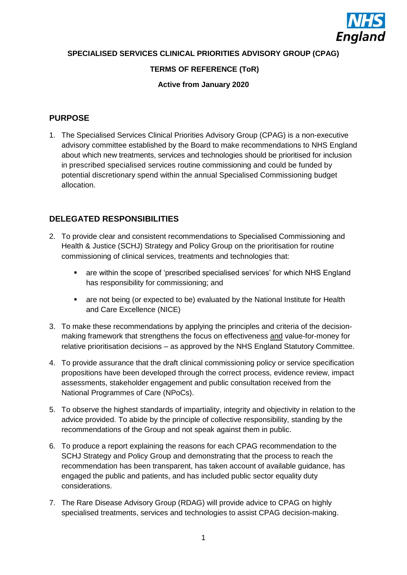

**SPECIALISED SERVICES CLINICAL PRIORITIES ADVISORY GROUP (CPAG)**

### **TERMS OF REFERENCE (ToR)**

#### **Active from January 2020**

### **PURPOSE**

1. The Specialised Services Clinical Priorities Advisory Group (CPAG) is a non-executive advisory committee established by the Board to make recommendations to NHS England about which new treatments, services and technologies should be prioritised for inclusion in prescribed specialised services routine commissioning and could be funded by potential discretionary spend within the annual Specialised Commissioning budget allocation.

### **DELEGATED RESPONSIBILITIES**

- 2. To provide clear and consistent recommendations to Specialised Commissioning and Health & Justice (SCHJ) Strategy and Policy Group on the prioritisation for routine commissioning of clinical services, treatments and technologies that:
	- are within the scope of 'prescribed specialised services' for which NHS England has responsibility for commissioning; and
	- are not being (or expected to be) evaluated by the National Institute for Health and Care Excellence (NICE)
- 3. To make these recommendations by applying the principles and criteria of the decisionmaking framework that strengthens the focus on effectiveness and value-for-money for relative prioritisation decisions – as approved by the NHS England Statutory Committee.
- 4. To provide assurance that the draft clinical commissioning policy or service specification propositions have been developed through the correct process, evidence review, impact assessments, stakeholder engagement and public consultation received from the National Programmes of Care (NPoCs).
- 5. To observe the highest standards of impartiality, integrity and objectivity in relation to the advice provided. To abide by the principle of collective responsibility, standing by the recommendations of the Group and not speak against them in public.
- 6. To produce a report explaining the reasons for each CPAG recommendation to the SCHJ Strategy and Policy Group and demonstrating that the process to reach the recommendation has been transparent, has taken account of available guidance, has engaged the public and patients, and has included public sector equality duty considerations.
- 7. The Rare Disease Advisory Group (RDAG) will provide advice to CPAG on highly specialised treatments, services and technologies to assist CPAG decision-making.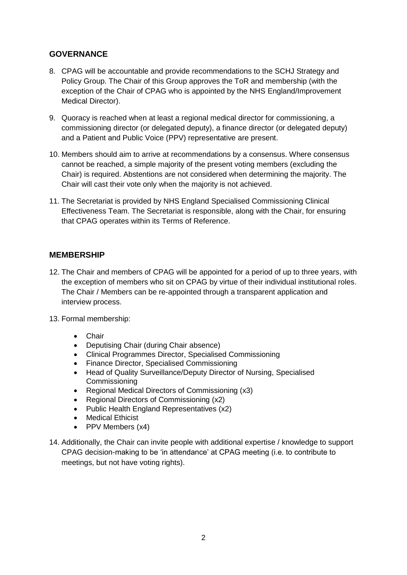# **GOVERNANCE**

- 8. CPAG will be accountable and provide recommendations to the SCHJ Strategy and Policy Group. The Chair of this Group approves the ToR and membership (with the exception of the Chair of CPAG who is appointed by the NHS England/Improvement Medical Director).
- 9. Quoracy is reached when at least a regional medical director for commissioning, a commissioning director (or delegated deputy), a finance director (or delegated deputy) and a Patient and Public Voice (PPV) representative are present.
- 10. Members should aim to arrive at recommendations by a consensus. Where consensus cannot be reached, a simple majority of the present voting members (excluding the Chair) is required. Abstentions are not considered when determining the majority. The Chair will cast their vote only when the majority is not achieved.
- 11. The Secretariat is provided by NHS England Specialised Commissioning Clinical Effectiveness Team. The Secretariat is responsible, along with the Chair, for ensuring that CPAG operates within its Terms of Reference.

### **MEMBERSHIP**

- 12. The Chair and members of CPAG will be appointed for a period of up to three years, with the exception of members who sit on CPAG by virtue of their individual institutional roles. The Chair / Members can be re-appointed through a transparent application and interview process.
- 13. Formal membership:
	- Chair
	- Deputising Chair (during Chair absence)
	- Clinical Programmes Director, Specialised Commissioning
	- Finance Director, Specialised Commissioning
	- Head of Quality Surveillance/Deputy Director of Nursing, Specialised Commissioning
	- Regional Medical Directors of Commissioning (x3)
	- Regional Directors of Commissioning (x2)
	- Public Health England Representatives (x2)
	- Medical Ethicist
	- PPV Members (x4)
- 14. Additionally, the Chair can invite people with additional expertise / knowledge to support CPAG decision-making to be 'in attendance' at CPAG meeting (i.e. to contribute to meetings, but not have voting rights).